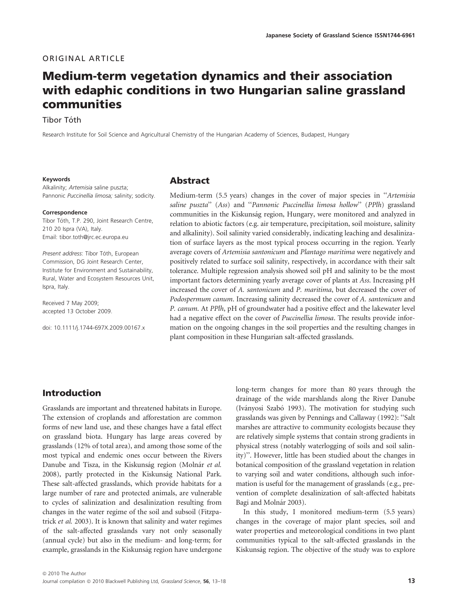#### ORIGINAL ARTICLE

# Medium-term vegetation dynamics and their association with edaphic conditions in two Hungarian saline grassland communities

Tibor Tóth

Research Institute for Soil Science and Agricultural Chemistry of the Hungarian Academy of Sciences, Budapest, Hungary

#### Keywords

Alkalinity; Artemisia saline puszta; Pannonic Puccinellia limosa; salinity; sodicity.

#### Correspondence

Tibor Tóth, T.P. 290, Joint Research Centre, 210 20 Ispra (VA), Italy. Email: tibor.toth@jrc.ec.europa.eu

Present address: Tibor Tóth, European Commission, DG Joint Research Center, Institute for Environment and Sustainability, Rural, Water and Ecosystem Resources Unit, Ispra, Italy.

Received 7 May 2009; accepted 13 October 2009.

doi: 10.1111/j.1744-697X.2009.00167.x

#### Abstract

Medium-term (5.5 years) changes in the cover of major species in ''Artemisia saline puszta" (Ass) and "Pannonic Puccinellia limosa hollow" (PPlh) grassland communities in the Kiskunság region, Hungary, were monitored and analyzed in relation to abiotic factors (e.g. air temperature, precipitation, soil moisture, salinity and alkalinity). Soil salinity varied considerably, indicating leaching and desalinization of surface layers as the most typical process occurring in the region. Yearly average covers of Artemisia santonicum and Plantago maritima were negatively and positively related to surface soil salinity, respectively, in accordance with their salt tolerance. Multiple regression analysis showed soil pH and salinity to be the most important factors determining yearly average cover of plants at Ass. Increasing pH increased the cover of A. santonicum and P. maritima, but decreased the cover of Podospermum canum. Increasing salinity decreased the cover of A. santonicum and P. canum. At PPlh, pH of groundwater had a positive effect and the lakewater level had a negative effect on the cover of Puccinellia limosa. The results provide information on the ongoing changes in the soil properties and the resulting changes in plant composition in these Hungarian salt-affected grasslands.

### Introduction

Grasslands are important and threatened habitats in Europe. The extension of croplands and afforestation are common forms of new land use, and these changes have a fatal effect on grassland biota. Hungary has large areas covered by grasslands (12% of total area), and among those some of the most typical and endemic ones occur between the Rivers Danube and Tisza, in the Kiskunság region (Molnár et al. 2008), partly protected in the Kiskunság National Park. These salt-affected grasslands, which provide habitats for a large number of rare and protected animals, are vulnerable to cycles of salinization and desalinization resulting from changes in the water regime of the soil and subsoil (Fitzpatrick et al. 2003). It is known that salinity and water regimes of the salt-affected grasslands vary not only seasonally (annual cycle) but also in the medium- and long-term; for example, grasslands in the Kiskunság region have undergone long-term changes for more than 80 years through the drainage of the wide marshlands along the River Danube (Iványosi Szabó 1993). The motivation for studying such grasslands was given by Pennings and Callaway (1992): ''Salt marshes are attractive to community ecologists because they are relatively simple systems that contain strong gradients in physical stress (notably waterlogging of soils and soil salinity)''. However, little has been studied about the changes in botanical composition of the grassland vegetation in relation to varying soil and water conditions, although such information is useful for the management of grasslands (e.g., prevention of complete desalinization of salt-affected habitats Bagi and Molnár 2003).

In this study, I monitored medium-term (5.5 years) changes in the coverage of major plant species, soil and water properties and meteorological conditions in two plant communities typical to the salt-affected grasslands in the Kiskunság region. The objective of the study was to explore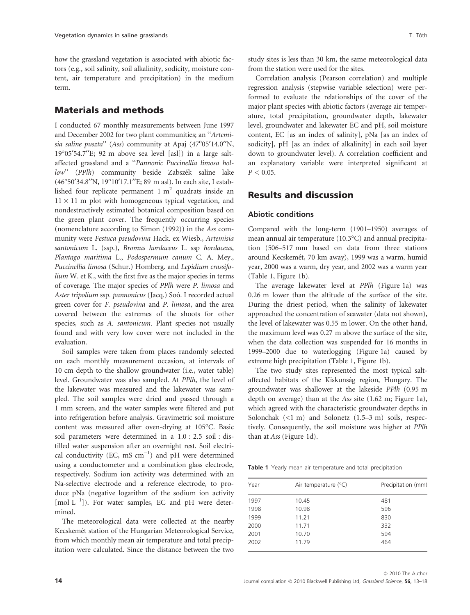how the grassland vegetation is associated with abiotic factors (e.g., soil salinity, soil alkalinity, sodicity, moisture content, air temperature and precipitation) in the medium term.

### Materials and methods

I conducted 67 monthly measurements between June 1997 and December 2002 for two plant communities; an ''Artemisia saline puszta" (Ass) community at Apaj (47°05'14.0"N,  $19^{\circ}05'54.7''$ E; 92 m above sea level [asl]) in a large saltaffected grassland and a ''Pannonic Puccinellia limosa hollow" (PPlh) community beside Zabszék saline lake (46°50′34.8″N, 19°10′17.1″E; 89 m asl). In each site, I established four replicate permanent  $1 \text{ m}^2$  quadrats inside an  $11 \times 11$  m plot with homogeneous typical vegetation, and nondestructively estimated botanical composition based on the green plant cover. The frequently occurring species (nomenclature according to Simon (1992)) in the Ass community were Festuca pseudovina Hack. ex Wiesb., Artemisia santonicum L. (ssp.), Bromus hordaceus L. ssp hordaceus, Plantago maritima L., Podospermum canum C. A. Mey., Puccinellia limosa (Schur.) Homberg. and Lepidium crassifolium W. et K., with the first five as the major species in terms of coverage. The major species of PPlh were P. limosa and Aster tripolium ssp. pannonicus (Jacq.) Soó. I recorded actual green cover for F. pseudovina and P. limosa, and the area covered between the extremes of the shoots for other species, such as A. santonicum. Plant species not usually found and with very low cover were not included in the evaluation.

Soil samples were taken from places randomly selected on each monthly measurement occasion, at intervals of 10 cm depth to the shallow groundwater (i.e., water table) level. Groundwater was also sampled. At PPlh, the level of the lakewater was measured and the lakewater was sampled. The soil samples were dried and passed through a 1 mm screen, and the water samples were filtered and put into refrigeration before analysis. Gravimetric soil moisture content was measured after oven-drying at 105°C. Basic soil parameters were determined in a 1.0 : 2.5 soil : distilled water suspension after an overnight rest. Soil electrical conductivity (EC, mS  $cm^{-1}$ ) and pH were determined using a conductometer and a combination glass electrode, respectively. Sodium ion activity was determined with an Na-selective electrode and a reference electrode, to produce pNa (negative logarithm of the sodium ion activity  $[$ mol  $L^{-1}$ ]). For water samples, EC and pH were determined.

The meteorological data were collected at the nearby Kecskemét station of the Hungarian Meteorological Service, from which monthly mean air temperature and total precipitation were calculated. Since the distance between the two

study sites is less than 30 km, the same meteorological data from the station were used for the sites.

Correlation analysis (Pearson correlation) and multiple regression analysis (stepwise variable selection) were performed to evaluate the relationships of the cover of the major plant species with abiotic factors (average air temperature, total precipitation, groundwater depth, lakewater level, groundwater and lakewater EC and pH, soil moisture content, EC [as an index of salinity], pNa [as an index of sodicity], pH [as an index of alkalinity] in each soil layer down to groundwater level). A correlation coefficient and an explanatory variable were interpreted significant at  $P < 0.05$ .

#### Results and discussion

#### Abiotic conditions

Compared with the long-term (1901–1950) averages of mean annual air temperature (10.3°C) and annual precipitation (506–517 mm based on data from three stations around Kecskemét, 70 km away), 1999 was a warm, humid year, 2000 was a warm, dry year, and 2002 was a warm year (Table 1, Figure 1b).

The average lakewater level at PPlh (Figure 1a) was 0.26 m lower than the altitude of the surface of the site. During the driest period, when the salinity of lakewater approached the concentration of seawater (data not shown), the level of lakewater was 0.55 m lower. On the other hand, the maximum level was 0.27 m above the surface of the site, when the data collection was suspended for 16 months in 1999–2000 due to waterlogging (Figure 1a) caused by extreme high precipitation (Table 1, Figure 1b).

The two study sites represented the most typical saltaffected habitats of the Kiskunság region, Hungary. The groundwater was shallower at the lakeside PPlh (0.95 m depth on average) than at the Ass site (1.62 m; Figure 1a), which agreed with the characteristic groundwater depths in Solonchak  $(\leq 1 \text{ m})$  and Solonetz  $(1.5-3 \text{ m})$  soils, respectively. Consequently, the soil moisture was higher at PPlh than at Ass (Figure 1d).

Table 1 Yearly mean air temperature and total precipitation

| Year | Air temperature $(°C)$ | Precipitation (mm) |
|------|------------------------|--------------------|
| 1997 | 10.45                  | 481                |
| 1998 | 10.98                  | 596                |
| 1999 | 11.21                  | 830                |
| 2000 | 11.71                  | 332                |
| 2001 | 10.70                  | 594                |
| 2002 | 11.79                  | 464                |
|      |                        |                    |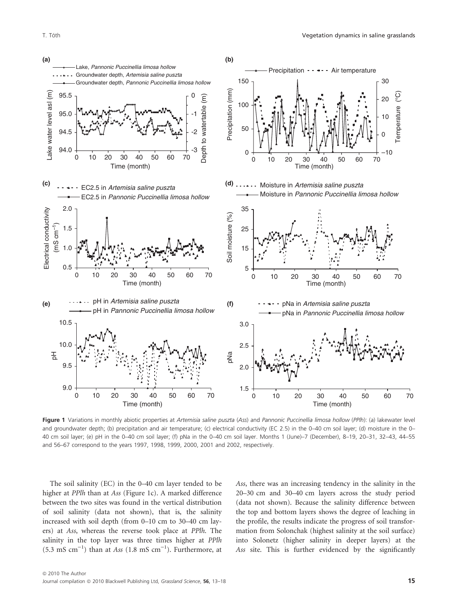

Figure 1 Variations in monthly abiotic properties at Artemisia saline puszta (Ass) and Pannonic Puccinellia limosa hollow (PPlh): (a) lakewater level and groundwater depth; (b) precipitation and air temperature; (c) electrical conductivity (EC 2.5) in the 0–40 cm soil layer; (d) moisture in the 0– 40 cm soil layer; (e) pH in the 0–40 cm soil layer; (f) pNa in the 0–40 cm soil layer. Months 1 (June)–7 (December), 8–19, 20–31, 32–43, 44–55 and 56–67 correspond to the years 1997, 1998, 1999, 2000, 2001 and 2002, respectively.

The soil salinity (EC) in the 0–40 cm layer tended to be higher at PPlh than at Ass (Figure 1c). A marked difference between the two sites was found in the vertical distribution of soil salinity (data not shown), that is, the salinity increased with soil depth (from 0–10 cm to 30–40 cm layers) at Ass, whereas the reverse took place at PPlh. The salinity in the top layer was three times higher at PPlh  $(5.3 \text{ mS cm}^{-1})$  than at Ass  $(1.8 \text{ mS cm}^{-1})$ . Furthermore, at

Ass, there was an increasing tendency in the salinity in the 20–30 cm and 30–40 cm layers across the study period (data not shown). Because the salinity difference between the top and bottom layers shows the degree of leaching in the profile, the results indicate the progress of soil transformation from Solonchak (highest salinity at the soil surface) into Solonetz (higher salinity in deeper layers) at the Ass site. This is further evidenced by the significantly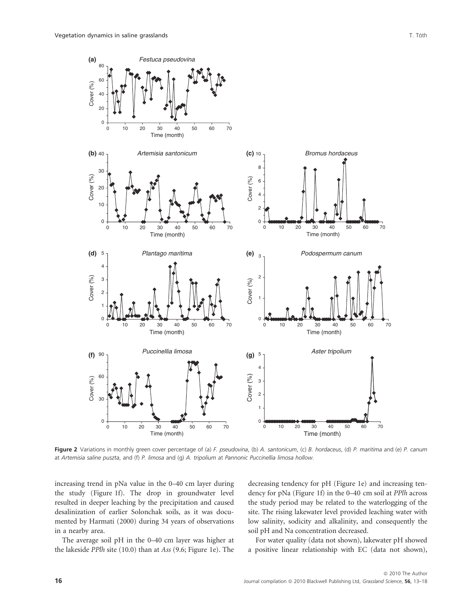



Figure 2 Variations in monthly green cover percentage of (a) F. pseudovina, (b) A. santonicum, (c) B. hordaceus, (d) P. maritima and (e) P. canum at Artemisia saline puszta, and (f) P. limosa and (g) A. tripolium at Pannonic Puccinellia limosa hollow.

increasing trend in pNa value in the 0–40 cm layer during the study (Figure 1f). The drop in groundwater level resulted in deeper leaching by the precipitation and caused desalinization of earlier Solonchak soils, as it was documented by Harmati (2000) during 34 years of observations in a nearby area.

The average soil pH in the 0–40 cm layer was higher at the lakeside PPlh site (10.0) than at Ass (9.6; Figure 1e). The decreasing tendency for pH (Figure 1e) and increasing tendency for pNa (Figure 1f) in the 0–40 cm soil at PPlh across the study period may be related to the waterlogging of the site. The rising lakewater level provided leaching water with low salinity, sodicity and alkalinity, and consequently the soil pH and Na concentration decreased.

For water quality (data not shown), lakewater pH showed a positive linear relationship with EC (data not shown),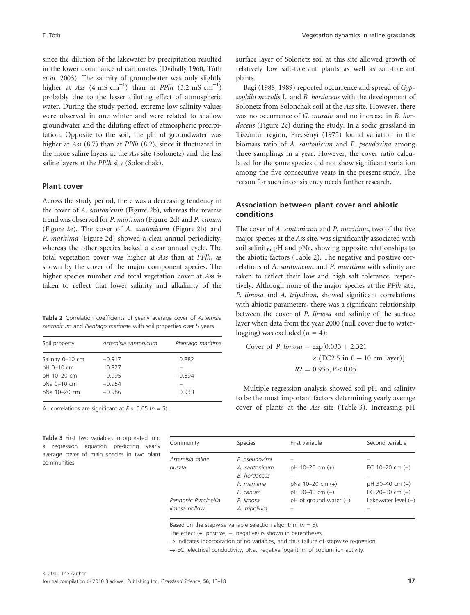since the dilution of the lakewater by precipitation resulted in the lower dominance of carbonates (Dvihally 1960; Tóth et al. 2003). The salinity of groundwater was only slightly higher at Ass  $(4 \text{ mS cm}^{-1})$  than at PPlh  $(3.2 \text{ mS cm}^{-1})$ probably due to the lesser diluting effect of atmospheric water. During the study period, extreme low salinity values were observed in one winter and were related to shallow groundwater and the diluting effect of atmospheric precipitation. Opposite to the soil, the pH of groundwater was higher at Ass (8.7) than at PPlh (8.2), since it fluctuated in the more saline layers at the Ass site (Solonetz) and the less saline layers at the PPlh site (Solonchak).

#### Plant cover

Across the study period, there was a decreasing tendency in the cover of A. santonicum (Figure 2b), whereas the reverse trend was observed for P. maritima (Figure 2d) and P. canum (Figure 2e). The cover of A. santonicum (Figure 2b) and P. maritima (Figure 2d) showed a clear annual periodicity, whereas the other species lacked a clear annual cycle. The total vegetation cover was higher at Ass than at PPlh, as shown by the cover of the major component species. The higher species number and total vegetation cover at Ass is taken to reflect that lower salinity and alkalinity of the

Table 2 Correlation coefficients of yearly average cover of Artemisia santonicum and Plantago maritima with soil properties over 5 years

| Soil property    | Artemisia santonicum | Plantago maritima |
|------------------|----------------------|-------------------|
| Salinity 0-10 cm | $-0.917$             | 0.882             |
| pH 0-10 cm       | 0.927                |                   |
| pH 10-20 cm      | 0.995                | $-0.894$          |
| pNa 0-10 cm      | $-0.954$             |                   |
| pNa 10-20 cm     | $-0.986$             | 0.933             |

All correlations are significant at  $P < 0.05$  ( $n = 5$ ).

Table 3 First two variables incorporated into a regression equation predicting yearly average cover of main species in two plant communities

surface layer of Solonetz soil at this site allowed growth of relatively low salt-tolerant plants as well as salt-tolerant plants.

Bagi (1988, 1989) reported occurrence and spread of Gypsophila muralis L. and B. hordaceus with the development of Solonetz from Solonchak soil at the Ass site. However, there was no occurrence of G. muralis and no increase in B. hordaceus (Figure 2c) during the study. In a sodic grassland in Tiszántúl region, Précsényi (1975) found variation in the biomass ratio of A. santonicum and F. pseudovina among three samplings in a year. However, the cover ratio calculated for the same species did not show significant variation among the five consecutive years in the present study. The reason for such inconsistency needs further research.

#### Association between plant cover and abiotic conditions

The cover of A. santonicum and P. maritima, two of the five major species at the Ass site, was significantly associated with soil salinity, pH and pNa, showing opposite relationships to the abiotic factors (Table 2). The negative and positive correlations of A. santonicum and P. maritima with salinity are taken to reflect their low and high salt tolerance, respectively. Although none of the major species at the PPlh site, P. limosa and A. tripolium, showed significant correlations with abiotic parameters, there was a significant relationship between the cover of P. limosa and salinity of the surface layer when data from the year 2000 (null cover due to waterlogging) was excluded ( $n = 4$ ):

Cover of *P. limosa* = exp[0.033 + 2.321  
× (EC2.5 in 0 – 10 cm layer)]  

$$
R2 = 0.935, P < 0.05
$$

Multiple regression analysis showed soil pH and salinity to be the most important factors determining yearly average cover of plants at the Ass site (Table 3). Increasing pH

| Community            | Species       | First variable             | Second variable       |
|----------------------|---------------|----------------------------|-----------------------|
| Artemisia saline     | F. pseudovina |                            |                       |
| puszta               | A. santonicum | pH 10-20 cm (+)            | EC 10-20 cm $(-)$     |
|                      | B. hordaceus  |                            |                       |
|                      | P. maritima   | $p$ Na 10-20 cm $(+)$      | pH 30-40 cm (+)       |
|                      | $P.$ canum    | pH 30-40 cm (-)            | EC 20-30 cm $(-)$     |
| Pannonic Puccinellia | P. limosa     | $pH$ of ground water $(+)$ | Lakewater level $(-)$ |
| limosa hollow        | A. tripolium  |                            |                       |

Based on the stepwise variable selection algorithm ( $n = 5$ ).

The effect  $(+,$  positive;  $-$ , negative) is shown in parentheses.

 $\rightarrow$  indicates incorporation of no variables, and thus failure of stepwise regression.

 $\rightarrow$  EC, electrical conductivity; pNa, negative logarithm of sodium ion activity.